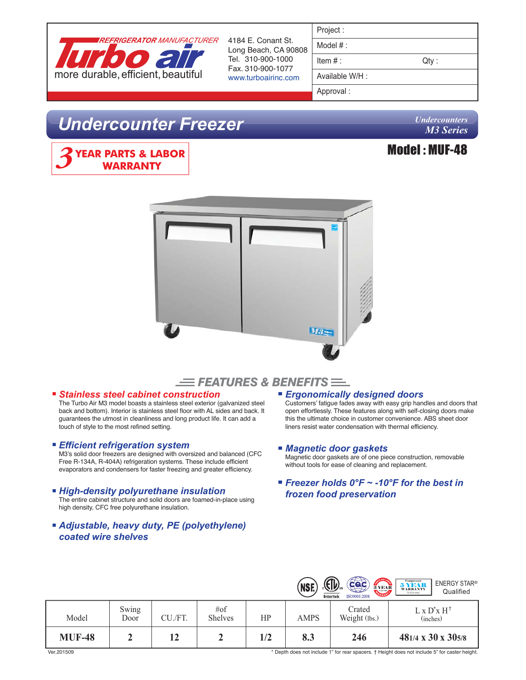

4184 E. Conant St. Long Beach, CA 90808 Tel. 310-900-1000 Fax. 310-900-1077 www.turboairinc.com

| Project:        |       |
|-----------------|-------|
| Model $#$ :     |       |
| Item $#$ :      | Qty : |
| Available W/H : |       |
| Approval:       |       |

# *Undercounter Freezer*

*Undercounters M3 Series*

Model : MUF-48







# *Stainless steel cabinet construction*

The Turbo Air M3 model boasts a stainless steel exterior (galvanized steel back and bottom). Interior is stainless steel floor with AL sides and back. It guarantees the utmost in cleanliness and long product life. It can add a touch of style to the most refined setting.

### *Efficient refrigeration system*

M3's solid door freezers are designed with oversized and balanced (CFC Free R-134A, R-404A) refrigeration systems. These include efficient evaporators and condensers for faster freezing and greater efficiency.

## *High-density polyurethane insulation*

The entire cabinet structure and solid doors are foamed-in-place using high density, CFC free polyurethane insulation.

# *Adjustable, heavy duty, PE (polyethylene) coated wire shelves*

### *Ergonomically designed doors*

Customers' fatigue fades away with easy grip handles and doors that open effortlessly. These features along with self-closing doors make this the ultimate choice in customer convenience. ABS sheet door liners resist water condensation with thermal efficiency.

## *Magnetic door gaskets*

Magnetic door gaskets are of one piece construction, removable without tools for ease of cleaning and replacement.

*Freezer holds 0°F ~ -10°F for the best in frozen food preservation*

|               |               |         |                           |     | (NSF.       | $\left(\mathbb{I}\right)$ .<br>Cac<br><b>SANDLA</b><br>3 YEAR<br>Intertek<br>ISO9001:2008 | <b>Compressor</b><br><b>ENERGY STAR®</b><br>5 YEAR<br><b>WARRANTY</b><br>Qualified<br>(U.S.A only) |
|---------------|---------------|---------|---------------------------|-----|-------------|-------------------------------------------------------------------------------------------|----------------------------------------------------------------------------------------------------|
| Model         | Swing<br>Door | CU./FT. | $\#$ of<br><b>Shelves</b> | HP  | <b>AMPS</b> | Crated<br>Weight (lbs.)                                                                   | $L \times D^* \times H^+$<br>(inches)                                                              |
| <b>MUF-48</b> |               | 12      |                           | 1/2 | 8.3         | 246                                                                                       | $481/4 \times 30 \times 305/8$                                                                     |

Ver.201509 \* Depth does not include 1" for rear spacers. † Height does not include 5" for caster height.